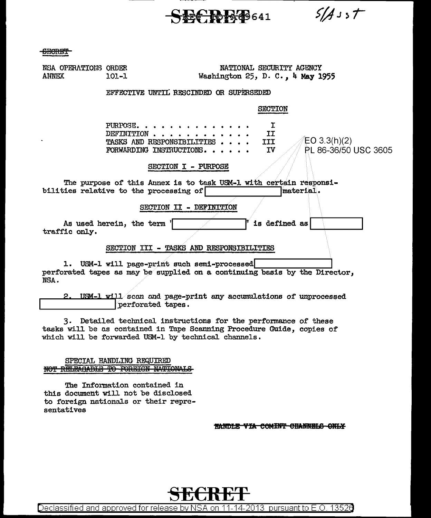-S-fi€BB!l9 641

 $5/4$ sst

<del>CECRET</del>

| NSA OPERATIONS ORDER<br><b>ANNEX</b>                                                                                     | NATIONAL SECURITY AGENCY<br>Washington 25, D. C., 4 May 1955<br>101-1                                                                                              |
|--------------------------------------------------------------------------------------------------------------------------|--------------------------------------------------------------------------------------------------------------------------------------------------------------------|
|                                                                                                                          | EFFECTIVE UNTIL RESCINDED OR SUPERSEDED                                                                                                                            |
|                                                                                                                          | <b>SECTION</b>                                                                                                                                                     |
|                                                                                                                          | $PIRPOSE.$<br>Ι<br>IJ<br>DEFINITION<br>$EO$ 3.3(h)(2)<br><b>III</b><br><b>TASKS AND RESPONSTBILITIES</b><br>PL 86-36/50 USC 3605<br>FORWARDING INSTRUCTIONS.<br>ΙV |
|                                                                                                                          | SECTION I - PURPOSE                                                                                                                                                |
| The purpose of this Annex is to task USM-1 with certain responsi-<br>bilities relative to the processing of<br>material. |                                                                                                                                                                    |
|                                                                                                                          | SECTION II - DEFINITION                                                                                                                                            |
| traffic only.                                                                                                            | is defined as<br>As used herein, the term '                                                                                                                        |
|                                                                                                                          | SECTION III - TASKS AND RESPONSIBILITIES                                                                                                                           |
| NSA.                                                                                                                     | 1. USM-1 will page-print such semi-processed<br>perforated tapes as may be supplied on a continuing basis by the Director,                                         |
| 2.                                                                                                                       | USM-1 will scan and page-print any accumulations of unprocessed<br>perforated tapes.                                                                               |

3. Detailed technical instructions for the performance of these tasks will be as contained in Tape Scanning Procedure Guide, copies of which will be forwarded USM-1 by technical channels.

## SPECIAL HANDLING REQUIRED NOT RELEAGABLE TO FOREIGN NATIONALS

The Information contained in this document will not be disclosed to foreign nationals or their representati ves

HANDLE VIA COMINT CHANNELS ONLY



Declassified and approved for release by NSA on 11-14-2013 pursuant to E.O. 13526